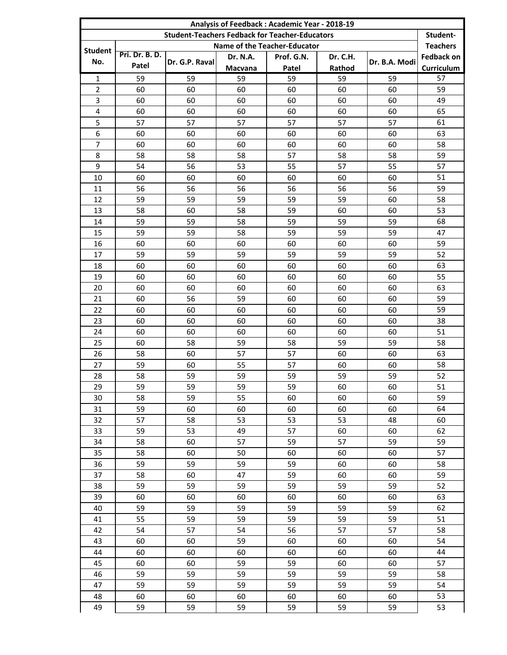|                                                       | Analysis of Feedback: Academic Year - 2018-19 |                |                 |            |          |               |                   |  |
|-------------------------------------------------------|-----------------------------------------------|----------------|-----------------|------------|----------|---------------|-------------------|--|
| <b>Student-Teachers Fedback for Teacher-Educators</b> |                                               |                |                 |            |          |               |                   |  |
| Name of the Teacher-Educator<br>Student               |                                               |                |                 |            |          |               |                   |  |
| No.                                                   | Pri. Dr. B. D.                                | Dr. G.P. Raval | <b>Dr. N.A.</b> | Prof. G.N. | Dr. C.H. | Dr. B.A. Modi | <b>Fedback on</b> |  |
|                                                       | Patel                                         |                | Macvana         | Patel      | Rathod   |               | Curriculum        |  |
| $\mathbf{1}$                                          | 59                                            | 59             | 59              | 59         | 59       | 59            | 57                |  |
| $\overline{2}$                                        | 60                                            | 60             | 60              | 60         | 60       | 60            | 59                |  |
| $\overline{3}$                                        | 60                                            | 60             | 60              | 60         | 60       | 60            | 49                |  |
| 4                                                     | 60                                            | 60             | 60              | 60         | 60       | 60            | 65                |  |
| 5                                                     | 57                                            | 57             | 57              | 57         | 57       | 57            | 61                |  |
| 6                                                     | 60                                            | 60             | 60              | 60         | 60       | 60            | 63                |  |
| $\overline{7}$                                        | 60                                            | 60             | 60              | 60         | 60       | 60            | 58                |  |
| 8                                                     | 58                                            | 58             | 58              | 57         | 58       | 58            | 59                |  |
| 9                                                     | 54                                            | 56             | 53              | 55         | 57       | 55            | 57                |  |
| 10                                                    | 60                                            | 60             | 60              | 60         | 60       | 60            | 51                |  |
| 11                                                    | 56                                            | 56             | 56              | 56         | 56       | 56            | 59                |  |
| 12                                                    | 59                                            | 59             | 59              | 59         | 59       | 60            | 58                |  |
| 13                                                    | 58                                            | 60             | 58              | 59         | 60       | 60            | 53                |  |
| 14                                                    | 59                                            | 59             | 58              | 59         | 59       | 59            | 68                |  |
| 15                                                    | 59                                            | 59             | 58              | 59         | 59       | 59            | 47                |  |
| 16                                                    | 60                                            | 60             | 60              | 60         | 60       | 60            | 59                |  |
| 17                                                    | 59                                            | 59             | 59              | 59         | 59       | 59            | 52                |  |
| 18                                                    | 60                                            | 60             | 60              | 60         | 60       | 60            | 63                |  |
| 19                                                    | 60                                            | 60             | 60              | 60         | 60       | 60            | 55                |  |
| 20                                                    | 60                                            | 60             | 60              | 60         | 60       | 60            | 63                |  |
| 21                                                    | 60                                            | 56             | 59              | 60         | 60       | 60            | 59                |  |
| 22                                                    | 60                                            | 60             | 60              | 60         | 60       | 60            | 59                |  |
| 23                                                    | 60                                            | 60             | 60              | 60         | 60       | 60            | 38                |  |
| 24                                                    | 60                                            | 60             | 60              | 60         | 60       | 60            | 51                |  |
| 25                                                    | 60                                            | 58             | 59              | 58         | 59       | 59            | 58                |  |
| 26                                                    | 58                                            | 60             | 57              | 57         | 60       | 60            | 63                |  |
| 27                                                    | 59                                            | 60             | 55              | 57         | 60       | 60            | 58                |  |
| 28                                                    | 58                                            | 59             | 59              | 59         | 59       | 59            | 52                |  |
| 29                                                    | 59                                            | 59             | 59              | 59         | 60       | 60            | 51                |  |
| 30                                                    | 58                                            | 59             | 55              | 60         | 60       | 60            | 59                |  |
| 31                                                    | 59                                            | 60             | 60              | 60         | 60       | 60            | 64                |  |
| 32                                                    | 57                                            | 58             | 53              | 53         | 53       | 48            | 60                |  |
| 33                                                    | 59                                            | 53             | 49              | 57         | 60       | 60            | 62                |  |
| 34                                                    | 58                                            | 60             | 57              | 59         | 57       | 59            | 59                |  |
| 35                                                    | 58                                            | 60             | 50              | 60         | 60<br>60 | 60            | 57<br>58          |  |
| 36<br>37                                              | 59                                            | 59<br>60       | 59<br>47        | 59<br>59   |          | 60            |                   |  |
|                                                       | 58                                            | 59             |                 |            | 60       | 60            | 59<br>52          |  |
| 38                                                    | 59                                            |                | 59              | 59         | 59       | 59            |                   |  |
| 39                                                    | 60                                            | 60<br>59       | 60              | 60         | 60       | 60            | 63<br>62          |  |
| 40                                                    | 59<br>55                                      | 59             | 59<br>59        | 59<br>59   | 59<br>59 | 59<br>59      |                   |  |
| 41                                                    | 54                                            | 57             | 54              | 56         | 57       | 57            | 51<br>58          |  |
| 42                                                    |                                               |                |                 |            |          |               |                   |  |
| 43<br>44                                              | 60                                            | 60             | 59<br>60        | 60<br>60   | 60       | 60            | 54<br>44          |  |
| 45                                                    | 60<br>60                                      | 60<br>60       | 59              | 59         | 60<br>60 | 60<br>60      | 57                |  |
| 46                                                    | 59                                            | 59             | 59              | 59         | 59       | 59            | 58                |  |
| 47                                                    | 59                                            | 59             | 59              | 59         | 59       | 59            | 54                |  |
| 48                                                    | 60                                            | 60             | 60              | 60         | 60       | 60            | 53                |  |
| 49                                                    | 59                                            | 59             | 59              | 59         | 59       | 59            | 53                |  |
|                                                       |                                               |                |                 |            |          |               |                   |  |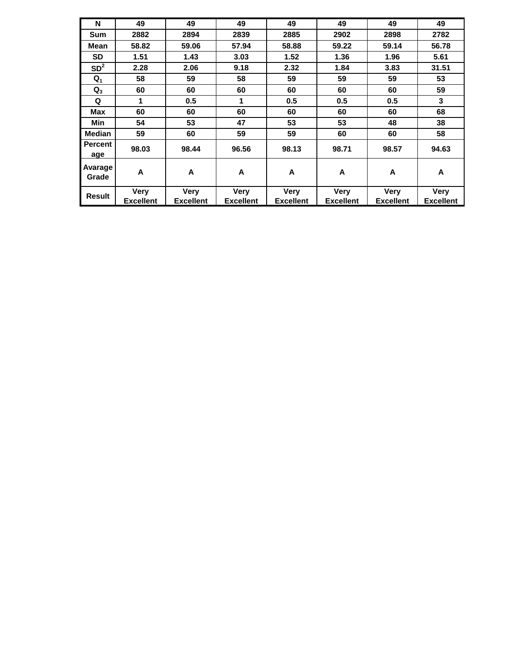| N                     | 49               | 49               | 49               | 49               | 49               | 49               | 49               |
|-----------------------|------------------|------------------|------------------|------------------|------------------|------------------|------------------|
| Sum                   | 2882             | 2894             | 2839             | 2885             | 2902             | 2898             | 2782             |
| Mean                  | 58.82            | 59.06            | 57.94            | 58.88            | 59.22            | 59.14            | 56.78            |
| <b>SD</b>             | 1.51             | 1.43             | 3.03             | 1.52             | 1.36             | 1.96             | 5.61             |
| SD <sup>2</sup>       | 2.28             | 2.06             | 9.18             | 2.32             | 1.84             | 3.83             | 31.51            |
| $Q_1$                 | 58               | 59               | 58               | 59               | 59               | 59               | 53               |
| $Q_3$                 | 60               | 60               | 60               | 60               | 60               | 60               | 59               |
| Q                     | 1                | 0.5              | 1                | 0.5              | 0.5              | 0.5              | 3                |
| <b>Max</b>            | 60               | 60               | 60               | 60               | 60               | 60               | 68               |
| Min                   | 54               | 53               | 47               | 53               | 53               | 48               | 38               |
| <b>Median</b>         | 59               | 60               | 59               | 59               | 60               | 60               | 58               |
| <b>Percent</b><br>age | 98.03            | 98.44            | 96.56            | 98.13            | 98.71            | 98.57            | 94.63            |
| Avarage<br>Grade      | A                | A                | A                | A                | A                | A                | A                |
| <b>Result</b>         | Very             | <b>Very</b>      | Very             | <b>Very</b>      | <b>Very</b>      | <b>Very</b>      | <b>Very</b>      |
|                       | <b>Excellent</b> | <b>Excellent</b> | <b>Excellent</b> | <b>Excellent</b> | <b>Excellent</b> | <b>Excellent</b> | <b>Excellent</b> |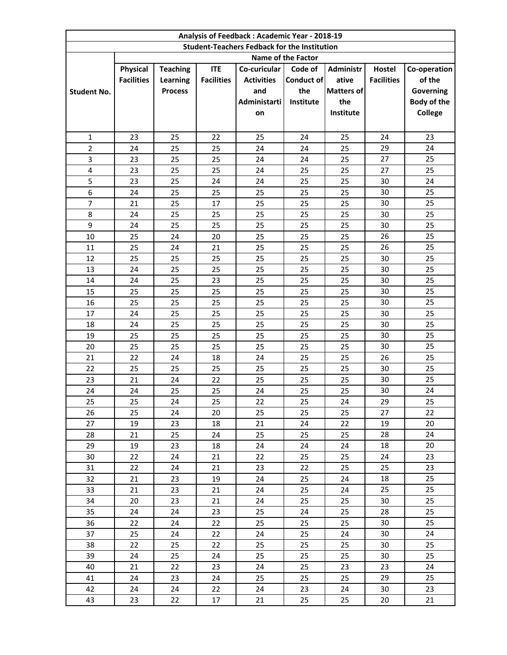| Analysis of Feedback: Academic Year - 2018-19       |                    |                 |                   |                   |            |                   |                   |                |  |
|-----------------------------------------------------|--------------------|-----------------|-------------------|-------------------|------------|-------------------|-------------------|----------------|--|
| <b>Student-Teachers Fedback for the Institution</b> |                    |                 |                   |                   |            |                   |                   |                |  |
|                                                     | Name of the Factor |                 |                   |                   |            |                   |                   |                |  |
|                                                     | Physical           | <b>Teaching</b> | <b>ITE</b>        | Co-curicular      | Code of    | <b>Administr</b>  | Hostel            | Co-operation   |  |
|                                                     | <b>Facilities</b>  | <b>Learning</b> | <b>Facilities</b> | <b>Activities</b> | Conduct of | ative             | <b>Facilities</b> | of the         |  |
| <b>Student No.</b>                                  |                    | <b>Process</b>  |                   | and               | the        | <b>Matters of</b> |                   | Governing      |  |
|                                                     |                    |                 |                   | Administarti      | Institute  | the               |                   | Body of the    |  |
|                                                     |                    |                 |                   | on                |            | Institute         |                   | <b>College</b> |  |
|                                                     |                    |                 |                   |                   |            |                   |                   |                |  |
| $\mathbf{1}$                                        | 23                 | 25              | 22                | 25                | 24         | 25                | 24                | 23             |  |
| $\overline{2}$                                      | 24                 | 25              | 25                | 24                | 24         | 25                | 29                | 24             |  |
| 3                                                   | 23                 | 25              | 25                | 24                | 24         | 25                | 27                | 25             |  |
| 4                                                   | 23                 | 25              | 25                | 24                | 25         | 25                | 27                | 25             |  |
| 5                                                   | 23                 | 25              | 24                | 24                | 25         | 25                | 30                | 24             |  |
| 6                                                   | 24                 | 25              | 25                | 25                | 25         | 25                | 30                | 25             |  |
| 7                                                   | 21                 | 25              | 17                | 25                | 25         | 25                | 30                | 25             |  |
| 8                                                   | 24                 | 25              | 25                | 25                | 25         | 25                | 30                | 25             |  |
| 9                                                   | 24                 | 25              | 25                | 25                | 25         | 25                | 30                | 25             |  |
| 10                                                  | 25                 | 24              | 20                | 25                | 25         | 25                | 26                | 25             |  |
| 11                                                  | 25                 | 24              | 21                | 25                | 25         | 25                | 26                | 25             |  |
| 12                                                  | 25                 | 25              | 25                | 25                | 25         | 25                | 30                | 25             |  |
| 13                                                  | 24                 | 25              | 25                | 25                | 25         | 25                | 30                | 25             |  |
| 14                                                  | 24                 | 25              | 23                | 25                | 25         | 25                | 30                | 25             |  |
| 15                                                  | 25                 | 25              | 25                | 25                | 25         | 25                | 30                | 25             |  |
| 16                                                  | 25                 | 25              | 25                | 25                | 25         | 25                | 30                | 25             |  |
| 17                                                  | 24                 | 25              | 25                | 25                | 25         | 25                | 30                | 25             |  |
| 18                                                  | 24                 | 25              | 25                | 25                | 25         | 25                | 30                | 25             |  |
| 19                                                  | 25                 | 25              | 25                | 25                | 25         | 25                | 30                | 25             |  |
| 20                                                  | 25                 | 25              | 25                | 25                | 25         | 25                | 30                | 25             |  |
| 21                                                  | 22                 | 24              | 18                | 24                | 25         | 25                | 26                | 25             |  |
| 22                                                  | 25                 | 25              | 25                | 25                | 25         | 25                | 30                | 25             |  |
| 23                                                  | 21                 | 24              | 22                | 25                | 25         | 25                | 30                | 25             |  |
| 24                                                  | 24                 | 25              | 25                | 24                | 25         | 25                | 30                | 24             |  |
| 25                                                  | 25                 | 24              | 25                | 22                | 25         | 24                | 29                | 25             |  |
| 26                                                  | 25                 | 24              | 20                | 25                | 25         | 25                | 27                | 22             |  |
| 27                                                  | 19                 | 23              | 18                | 21                | 24         | 22                | 19                | 20             |  |
| 28                                                  | 21                 | 25              | 24                | 25                | 25         | 25                | 28                | 24             |  |
| 29                                                  | 19                 | 23              | 18                | 24                | 24         | 24                | 18                | 20             |  |
| 30                                                  | 22                 | 24              | 21                | 22                | 25         | 25                | 24                | 23             |  |
| 31                                                  | 22                 | 24              | 21                | 23                | 22         | 25                | 25                | 23             |  |
| 32                                                  | 21                 | 23              | 19                | 24                | 25         | 24                | 18                | 25             |  |
| 33                                                  | 21                 | 23              | 21                | 24                | 25         | 24                | 25                | 25             |  |
| 34                                                  | 20                 | 23              | 21                | 24                | 25         | 25                | 30                | 25             |  |
| 35                                                  | 24                 | 24              | 23                | 25                | 24         | 25                | 28                | 25             |  |
| 36                                                  | 22                 | 24              | 22                | 25                | 25         | 25                | 30                | 25             |  |
| 37                                                  | 25                 | 24              | 22                | 24                | 25         | 24                | 30                | 24             |  |
| 38                                                  | 22                 | 25              | 22                | 25                | 25         | 25                | 30                | 25             |  |
| 39                                                  | 24                 | 25              | 24                | 25                | 25         | 25                | 30                | 25             |  |
| 40                                                  | 21                 | 22              | 23                | 24                | 25         | 23                | 23                | 24             |  |
| 41<br>42                                            | 24<br>24           | 23<br>24        | 24<br>22          | 25<br>24          | 25<br>23   | 25<br>24          | 29<br>30          | 25<br>23       |  |
| 43                                                  | 23                 | 22              | 17                | 21                | 25         | 25                | 20                | 21             |  |
|                                                     |                    |                 |                   |                   |            |                   |                   |                |  |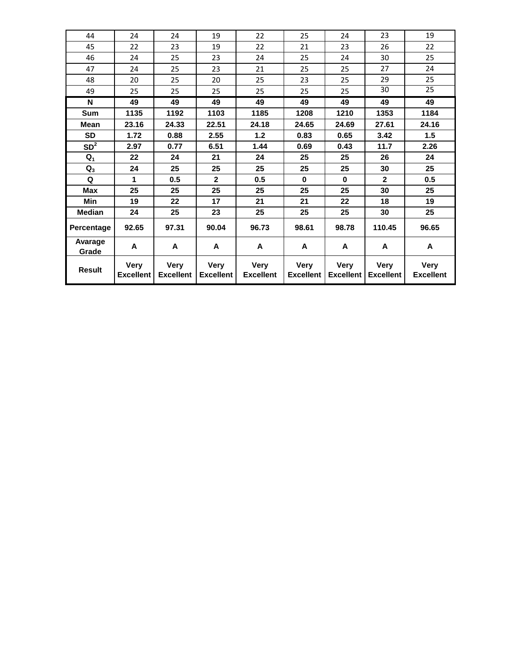| 44               | 24                              | 24                              | 19                              | 22                              | 25                              | 24                              | 23                              | 19                              |
|------------------|---------------------------------|---------------------------------|---------------------------------|---------------------------------|---------------------------------|---------------------------------|---------------------------------|---------------------------------|
| 45               | 22                              | 23                              | 19                              | 22                              | 21                              | 23                              | 26                              | 22                              |
| 46               | 24                              | 25                              | 23                              | 24                              | 25                              | 24                              | 30                              | 25                              |
| 47               | 24                              | 25                              | 23                              | 21                              | 25                              | 25                              | 27                              | 24                              |
| 48               | 20                              | 25                              | 20                              | 25                              | 23                              | 25                              | 29                              | 25                              |
| 49               | 25                              | 25                              | 25                              | 25                              | 25                              | 25                              | 30                              | $\overline{25}$                 |
| N                | 49                              | 49                              | 49                              | 49                              | 49                              | 49                              | 49                              | 49                              |
| Sum              | 1135                            | 1192                            | 1103                            | 1185                            | 1208                            | 1210                            | 1353                            | 1184                            |
| <b>Mean</b>      | 23.16                           | 24.33                           | 22.51                           | 24.18                           | 24.65                           | 24.69                           | 27.61                           | 24.16                           |
| <b>SD</b>        | 1.72                            | 0.88                            | 2.55                            | $1.2$                           | 0.83                            | 0.65                            | 3.42                            | 1.5                             |
| SD <sup>2</sup>  | 2.97                            | 0.77                            | 6.51                            | 1.44                            | 0.69                            | 0.43                            | 11.7                            | 2.26                            |
| $Q_1$            | 22                              | 24                              | 21                              | 24                              | 25                              | 25                              | 26                              | 24                              |
| $Q_3$            | 24                              | 25                              | 25                              | 25                              | 25                              | 25                              | 30                              | 25                              |
| Q                | 1                               | 0.5                             | $\mathbf{2}$                    | 0.5                             | $\bf{0}$                        | $\bf{0}$                        | $\mathbf{2}$                    | 0.5                             |
| <b>Max</b>       | 25                              | 25                              | 25                              | 25                              | 25                              | 25                              | 30                              | 25                              |
| Min              | 19                              | 22                              | 17                              | 21                              | 21                              | 22                              | 18                              | 19                              |
| <b>Median</b>    | 24                              | 25                              | 23                              | 25                              | 25                              | 25                              | 30                              | 25                              |
| Percentage       | 92.65                           | 97.31                           | 90.04                           | 96.73                           | 98.61                           | 98.78                           | 110.45                          | 96.65                           |
| Avarage<br>Grade | A                               | A                               | A                               | A                               | A                               | A                               | A                               | A                               |
| <b>Result</b>    | <b>Very</b><br><b>Excellent</b> | <b>Very</b><br><b>Excellent</b> | <b>Very</b><br><b>Excellent</b> | <b>Very</b><br><b>Excellent</b> | <b>Very</b><br><b>Excellent</b> | <b>Very</b><br><b>Excellent</b> | <b>Very</b><br><b>Excellent</b> | <b>Very</b><br><b>Excellent</b> |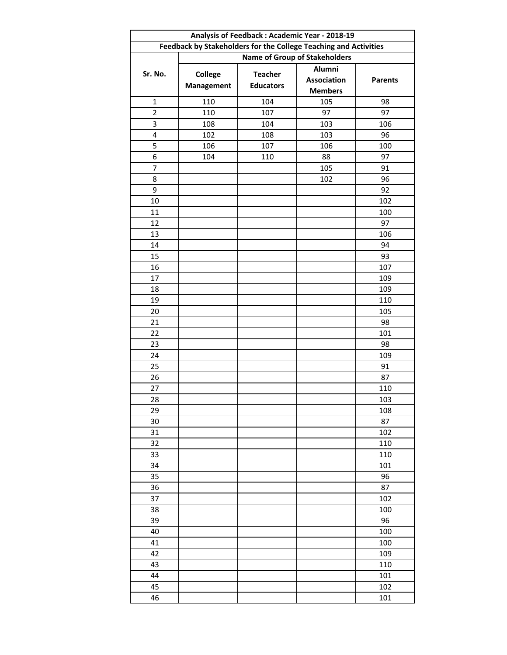| Analysis of Feedback: Academic Year - 2018-19                    |                                      |                  |                    |                |  |  |  |  |  |
|------------------------------------------------------------------|--------------------------------------|------------------|--------------------|----------------|--|--|--|--|--|
| Feedback by Stakeholders for the College Teaching and Activities |                                      |                  |                    |                |  |  |  |  |  |
|                                                                  | <b>Name of Group of Stakeholders</b> |                  |                    |                |  |  |  |  |  |
| Sr. No.                                                          | <b>College</b>                       | <b>Teacher</b>   | Alumni             |                |  |  |  |  |  |
|                                                                  | <b>Management</b>                    | <b>Educators</b> | <b>Association</b> | <b>Parents</b> |  |  |  |  |  |
|                                                                  |                                      |                  | <b>Members</b>     |                |  |  |  |  |  |
| $\mathbf 1$                                                      | 110                                  | 104              | 105                | 98             |  |  |  |  |  |
| $\overline{2}$                                                   | 110                                  | 107              | 97                 | 97             |  |  |  |  |  |
| 3                                                                | 108                                  | 104              | 103                | 106            |  |  |  |  |  |
| 4                                                                | 102                                  | 108              | 103                | 96             |  |  |  |  |  |
| 5                                                                | 106                                  | 107              | 106                | 100            |  |  |  |  |  |
| 6                                                                | 104                                  | 110              | 88                 | 97             |  |  |  |  |  |
| $\overline{\mathcal{I}}$                                         |                                      |                  | 105                | 91             |  |  |  |  |  |
| 8                                                                |                                      |                  | 102                | 96             |  |  |  |  |  |
| 9                                                                |                                      |                  |                    | 92             |  |  |  |  |  |
| 10                                                               |                                      |                  |                    | 102            |  |  |  |  |  |
| 11                                                               |                                      |                  |                    | 100            |  |  |  |  |  |
| 12                                                               |                                      |                  |                    | 97             |  |  |  |  |  |
| 13                                                               |                                      |                  |                    | 106            |  |  |  |  |  |
| 14                                                               |                                      |                  |                    | 94             |  |  |  |  |  |
| 15                                                               |                                      |                  |                    | 93             |  |  |  |  |  |
| 16                                                               |                                      |                  |                    | 107            |  |  |  |  |  |
| 17                                                               |                                      |                  |                    | 109            |  |  |  |  |  |
| 18                                                               |                                      |                  |                    | 109            |  |  |  |  |  |
| 19                                                               |                                      |                  |                    | 110            |  |  |  |  |  |
| 20                                                               |                                      |                  |                    | 105            |  |  |  |  |  |
| 21                                                               |                                      |                  |                    | 98             |  |  |  |  |  |
| 22                                                               |                                      |                  |                    | 101            |  |  |  |  |  |
| 23                                                               |                                      |                  |                    | 98             |  |  |  |  |  |
| 24                                                               |                                      |                  |                    | 109            |  |  |  |  |  |
| 25                                                               |                                      |                  |                    | 91             |  |  |  |  |  |
| 26                                                               |                                      |                  |                    | 87             |  |  |  |  |  |
| 27                                                               |                                      |                  |                    | 110            |  |  |  |  |  |
| 28                                                               |                                      |                  |                    | 103            |  |  |  |  |  |
| 29                                                               |                                      |                  |                    | 108            |  |  |  |  |  |
| 30                                                               |                                      |                  |                    | 87             |  |  |  |  |  |
| 31                                                               |                                      |                  |                    | 102            |  |  |  |  |  |
| 32                                                               |                                      |                  |                    | 110            |  |  |  |  |  |
| 33                                                               |                                      |                  |                    | 110            |  |  |  |  |  |
| 34                                                               |                                      |                  |                    | 101            |  |  |  |  |  |
| 35                                                               |                                      |                  |                    | 96             |  |  |  |  |  |
| 36                                                               |                                      |                  |                    | 87             |  |  |  |  |  |
| 37                                                               |                                      |                  |                    | 102            |  |  |  |  |  |
| 38                                                               |                                      |                  |                    | 100            |  |  |  |  |  |
| 39                                                               |                                      |                  |                    | 96             |  |  |  |  |  |
| 40                                                               |                                      |                  |                    | 100            |  |  |  |  |  |
| 41                                                               |                                      |                  |                    | 100            |  |  |  |  |  |
| 42                                                               |                                      |                  |                    | 109            |  |  |  |  |  |
| 43                                                               |                                      |                  |                    | 110            |  |  |  |  |  |
| 44                                                               |                                      |                  |                    | 101            |  |  |  |  |  |
| 45                                                               |                                      |                  |                    | 102            |  |  |  |  |  |
| 46                                                               |                                      |                  |                    | 101            |  |  |  |  |  |